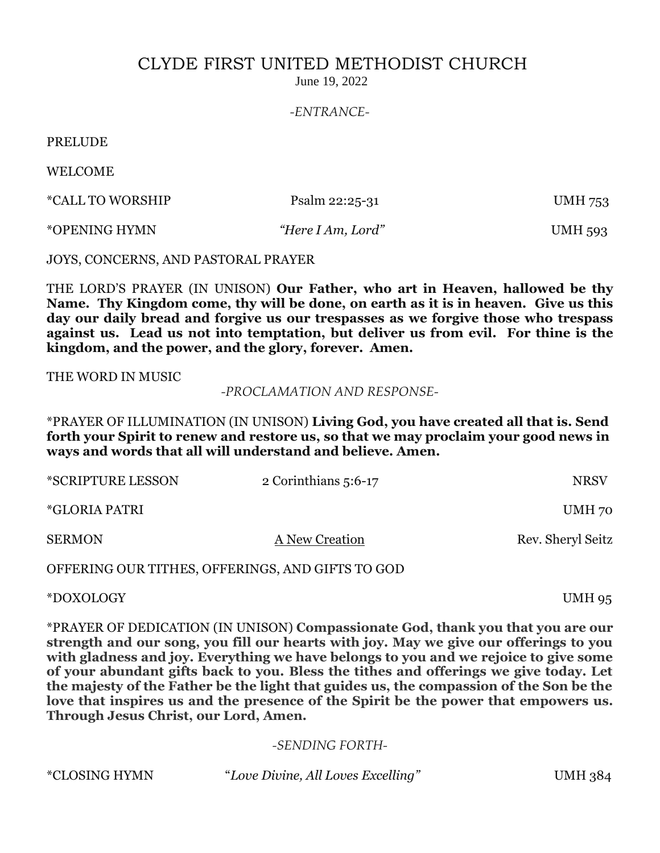## CLYDE FIRST UNITED METHODIST CHURCH

June 19, 2022

*-ENTRANCE-*

PRELUDE

WELCOME

| *CALL TO WORSHIP | Psalm 22:25-31    | <b>UMH 753</b> |
|------------------|-------------------|----------------|
| *OPENING HYMN    | "Here I Am, Lord" | <b>UMH 593</b> |

JOYS, CONCERNS, AND PASTORAL PRAYER

THE LORD'S PRAYER (IN UNISON) **Our Father, who art in Heaven, hallowed be thy Name. Thy Kingdom come, thy will be done, on earth as it is in heaven. Give us this day our daily bread and forgive us our trespasses as we forgive those who trespass against us. Lead us not into temptation, but deliver us from evil. For thine is the kingdom, and the power, and the glory, forever. Amen.**

THE WORD IN MUSIC

*-PROCLAMATION AND RESPONSE-*

\*PRAYER OF ILLUMINATION (IN UNISON) **Living God, you have created all that is. Send forth your Spirit to renew and restore us, so that we may proclaim your good news in ways and words that all will understand and believe. Amen.**

| <i><b>*SCRIPTURE LESSON</b></i> | 2 Corinthians 5:6-17 | <b>NRSV</b>       |
|---------------------------------|----------------------|-------------------|
| <i>*GLORIA PATRI</i>            |                      | UMH 70            |
| <b>SERMON</b>                   | A New Creation       | Rev. Sheryl Seitz |
|                                 | $\triangle$          |                   |

OFFERING OUR TITHES, OFFERINGS, AND GIFTS TO GOD

\*DOXOLOGY UMH 95

\*PRAYER OF DEDICATION (IN UNISON) **Compassionate God, thank you that you are our strength and our song, you fill our hearts with joy. May we give our offerings to you with gladness and joy. Everything we have belongs to you and we rejoice to give some of your abundant gifts back to you. Bless the tithes and offerings we give today. Let the majesty of the Father be the light that guides us, the compassion of the Son be the love that inspires us and the presence of the Spirit be the power that empowers us. Through Jesus Christ, our Lord, Amen.**

## *-SENDING FORTH-*

\*CLOSING HYMN "*Love Divine, All Loves Excelling"* UMH 384